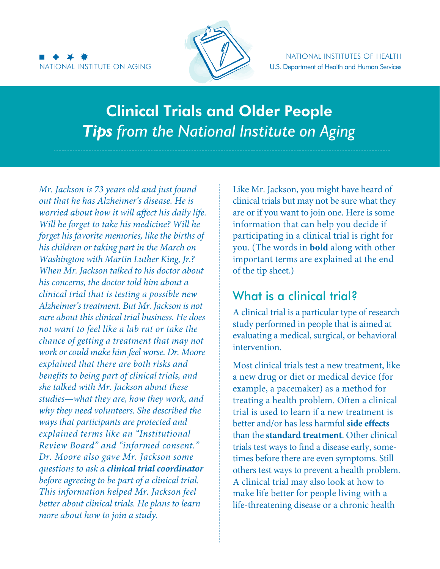

# Clinical Trials and Older People *Tips from the National Institute on Aging*

*Mr. Jackson is 73 years old and just found out that he has Alzheimer's disease. He is worried about how it will affect his daily life. Will he forget to take his medicine? Will he forget his favorite memories, like the births of his children or taking part in the March on Washington with Martin Luther King, Jr.? When Mr. Jackson talked to his doctor about his concerns, the doctor told him about a clinical trial that is testing a possible new Alzheimer's treatment. But Mr. Jackson is not sure about this clinical trial business. He does not want to feel like a lab rat or take the chance of getting a treatment that may not work or could make him feel worse. Dr. Moore explained that there are both risks and benefits to being part of clinical trials, and she talked with Mr. Jackson about these studies—what they are, how they work, and why they need volunteers. She described the ways that participants are protected and explained terms like an "Institutional Review Board" and "informed consent." Dr. Moore also gave Mr. Jackson some questions to ask a clinical trial coordinator before agreeing to be part of a clinical trial. This information helped Mr. Jackson feel better about clinical trials. He plans to learn more about how to join a study.* 

Like Mr. Jackson, you might have heard of clinical trials but may not be sure what they are or if you want to join one. Here is some information that can help you decide if participating in a clinical trial is right for you. (The words in **bold** along with other important terms are explained at the end of the tip sheet.)

# What is a clinical trial?

A clinical trial is a particular type of research study performed in people that is aimed at evaluating a medical, surgical, or behavioral intervention.

Most clinical trials test a new treatment, like a new drug or diet or medical device (for example, a pacemaker) as a method for treating a health problem. Often a clinical trial is used to learn if a new treatment is better and/or has less harmful **side effects** than the **standard treatment**. Other clinical trials test ways to find a disease early, sometimes before there are even symptoms. Still others test ways to prevent a health problem. A clinical trial may also look at how to make life better for people living with a life-threatening disease or a chronic health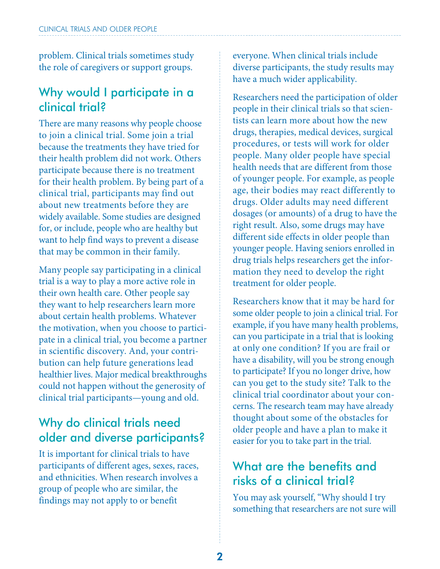problem. Clinical trials sometimes study the role of caregivers or support groups.

### Why would I participate in a clinical trial?

There are many reasons why people choose to join a clinical trial. Some join a trial because the treatments they have tried for their health problem did not work. Others participate because there is no treatment for their health problem. By being part of a clinical trial, participants may find out about new treatments before they are widely available. Some studies are designed for, or include, people who are healthy but want to help find ways to prevent a disease that may be common in their family.

Many people say participating in a clinical trial is a way to play a more active role in their own health care. Other people say they want to help researchers learn more about certain health problems. Whatever the motivation, when you choose to participate in a clinical trial, you become a partner in scientific discovery. And, your contribution can help future generations lead healthier lives. Major medical breakthroughs could not happen without the generosity of clinical trial participants—young and old.

#### Why do clinical trials need older and diverse participants?

It is important for clinical trials to have participants of different ages, sexes, races, and ethnicities. When research involves a group of people who are similar, the findings may not apply to or benefit

everyone. When clinical trials include diverse participants, the study results may have a much wider applicability.

Researchers need the participation of older people in their clinical trials so that scientists can learn more about how the new drugs, therapies, medical devices, surgical procedures, or tests will work for older people. Many older people have special health needs that are different from those of younger people. For example, as people age, their bodies may react differently to drugs. Older adults may need different dosages (or amounts) of a drug to have the right result. Also, some drugs may have different side effects in older people than younger people. Having seniors enrolled in drug trials helps researchers get the information they need to develop the right treatment for older people.

Researchers know that it may be hard for some older people to join a clinical trial. For example, if you have many health problems, can you participate in a trial that is looking at only one condition? If you are frail or have a disability, will you be strong enough to participate? If you no longer drive, how can you get to the study site? Talk to the clinical trial coordinator about your concerns. The research team may have already thought about some of the obstacles for older people and have a plan to make it easier for you to take part in the trial.

### What are the benefits and risks of a clinical trial?

You may ask yourself, "Why should I try something that researchers are not sure will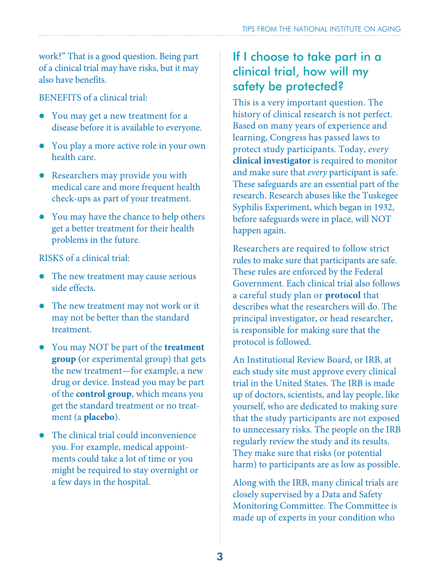work?" That is a good question. Being part of a clinical trial may have risks, but it may also have benefits.

BENEFITS of a clinical trial:

- You may get a new treatment for a disease before it is available to everyone.
- You play a more active role in your own health care.
- Researchers may provide you with medical care and more frequent health check-ups as part of your treatment.
- You may have the chance to help others get a better treatment for their health problems in the future.

Risks of a clinical trial:

- The new treatment may cause serious side effects.
- The new treatment may not work or it may not be better than the standard treatment.
- z You may NOT be part of the **treatment group (**or experimental group) that gets the new treatment—for example, a new drug or device. Instead you may be part of the **control group**, which means you get the standard treatment or no treatment (a **placebo**).
- The clinical trial could inconvenience you. For example, medical appointments could take a lot of time or you might be required to stay overnight or a few days in the hospital.

### If I choose to take part in a clinical trial, how will my safety be protected?

This is a very important question. The history of clinical research is not perfect. Based on many years of experience and learning, Congress has passed laws to protect study participants. Today, *every* **clinical investigator** is required to monitor and make sure that *every* participant is safe. These safeguards are an essential part of the research. Research abuses like the Tuskegee Syphilis Experiment, which began in 1932, before safeguards were in place, will NOT happen again.

Researchers are required to follow strict rules to make sure that participants are safe. These rules are enforced by the Federal Government. Each clinical trial also follows a careful study plan or **protocol** that describes what the researchers will do. The principal investigator, or head researcher, is responsible for making sure that the protocol is followed.

An Institutional Review Board, or IRB, at each study site must approve every clinical trial in the United States. The IRB is made up of doctors, scientists, and lay people, like yourself, who are dedicated to making sure that the study participants are not exposed to unnecessary risks. The people on the IRB regularly review the study and its results. They make sure that risks (or potential harm) to participants are as low as possible.

Along with the IRB, many clinical trials are closely supervised by a Data and Safety Monitoring Committee. The Committee is made up of experts in your condition who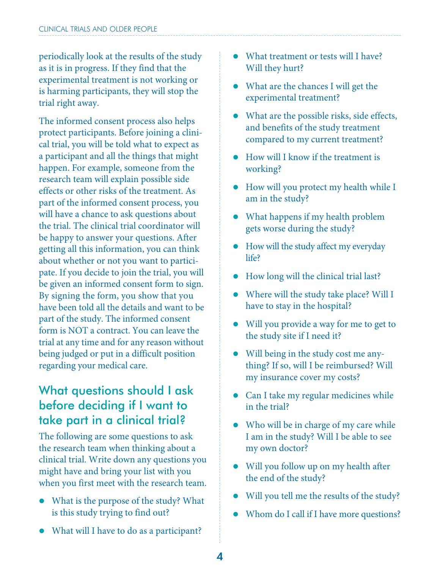periodically look at the results of the study as it is in progress. If they find that the experimental treatment is not working or is harming participants, they will stop the trial right away.

The informed consent process also helps protect participants. Before joining a clinical trial, you will be told what to expect as a participant and all the things that might happen. For example, someone from the research team will explain possible side effects or other risks of the treatment. As part of the informed consent process, you will have a chance to ask questions about the trial. The clinical trial coordinator will be happy to answer your questions. After getting all this information, you can think about whether or not you want to participate. If you decide to join the trial, you will be given an informed consent form to sign. By signing the form, you show that you have been told all the details and want to be part of the study. The informed consent form is NOT a contract. You can leave the trial at any time and for any reason without being judged or put in a difficult position regarding your medical care.

#### What questions should I ask before deciding if I want to take part in a clinical trial?

The following are some questions to ask the research team when thinking about a clinical trial. Write down any questions you might have and bring your list with you when you first meet with the research team.

- What is the purpose of the study? What is this study trying to find out?
- What will I have to do as a participant?
- What treatment or tests will I have? Will they hurt?
- What are the chances I will get the experimental treatment?
- What are the possible risks, side effects, and benefits of the study treatment compared to my current treatment?
- How will I know if the treatment is working?
- How will you protect my health while I am in the study?
- $\bullet$  What happens if my health problem gets worse during the study?
- How will the study affect my everyday life?
- How long will the clinical trial last?
- Where will the study take place? Will I have to stay in the hospital?
- Will you provide a way for me to get to the study site if I need it?
- Will being in the study cost me anything? If so, will I be reimbursed? Will my insurance cover my costs?
- Can I take my regular medicines while in the trial?
- Who will be in charge of my care while I am in the study? Will I be able to see my own doctor?
- Will you follow up on my health after the end of the study?
- Will you tell me the results of the study?
- Whom do I call if I have more questions?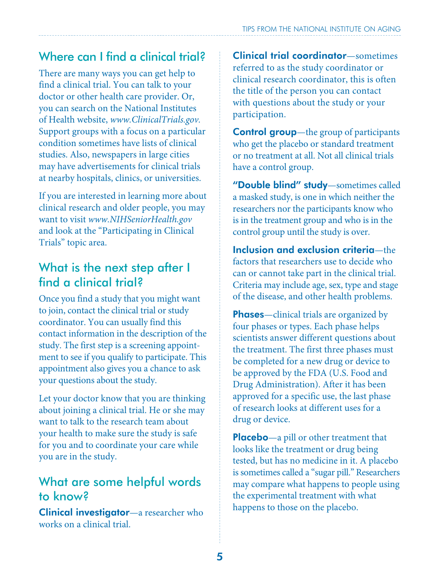# Where can I find a clinical trial?

There are many ways you can get help to find a clinical trial. You can talk to your doctor or other health care provider. Or, you can search on the National Institutes of Health website, *www.ClinicalTrials.gov.* Support groups with a focus on a particular condition sometimes have lists of clinical studies. Also, newspapers in large cities may have advertisements for clinical trials at nearby hospitals, clinics, or universities.

If you are interested in learning more about clinical research and older people, you may want to visit *www.NIHSeniorHealth.gov* and look at the "Participating in Clinical Trials" topic area.

### What is the next step after I find a clinical trial?

Once you find a study that you might want to join, contact the clinical trial or study coordinator. You can usually find this contact information in the description of the study. The first step is a screening appointment to see if you qualify to participate. This appointment also gives you a chance to ask your questions about the study.

Let your doctor know that you are thinking about joining a clinical trial. He or she may want to talk to the research team about your health to make sure the study is safe for you and to coordinate your care while you are in the study.

#### What are some helpful words to know?

Clinical investigator—a researcher who works on a clinical trial.

Clinical trial coordinator—sometimes referred to as the study coordinator or clinical research coordinator, this is often the title of the person you can contact with questions about the study or your participation.

**Control group**—the group of participants who get the placebo or standard treatment or no treatment at all. Not all clinical trials have a control group.

"Double blind" study—sometimes called a masked study, is one in which neither the researchers nor the participants know who is in the treatment group and who is in the control group until the study is over.

Inclusion and exclusion criteria—the factors that researchers use to decide who can or cannot take part in the clinical trial. Criteria may include age, sex, type and stage of the disease, and other health problems.

**Phases**—clinical trials are organized by four phases or types. Each phase helps scientists answer different questions about the treatment. The first three phases must be completed for a new drug or device to be approved by the FDA (U.S. Food and Drug Administration). After it has been approved for a specific use, the last phase of research looks at different uses for a drug or device.

**Placebo**—a pill or other treatment that looks like the treatment or drug being tested, but has no medicine in it. A placebo is sometimes called a "sugar pill." Researchers may compare what happens to people using the experimental treatment with what happens to those on the placebo.